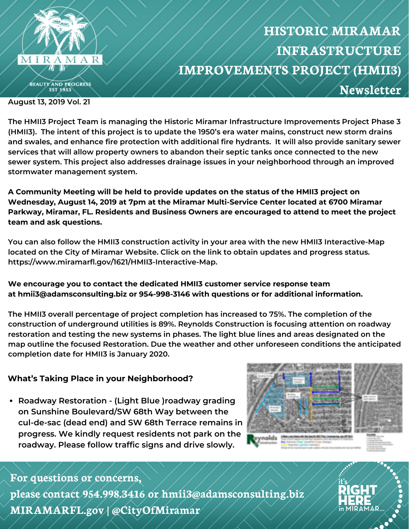

## **HISTORIC MIRAMAR INFRASTRUCTURE IMPROVEMENTS PROJECT (HMII3) Newsletter**

**August 13, 2019 Vol. 21**

**The HMII3 Project Team is managing the Historic Miramar Infrastructure Improvements Project Phase 3** (HMII3). The intent of this project is to update the 1950's era water mains, construct new storm drains **and swales, and enhance fire protection with additional fire hydrants. It will also provide sanitary sewer services that will allow property owners to abandon their septic tanks once connected to the new sewer system. This project also addresses drainage issues in your neighborhood through an improved stormwater management system.**

**A Community Meeting will be held to provide updates on the status of the HMII3 project on Wednesday, August 14, 2019 at 7pm at the Miramar Multi-Service Center located at 6700 Miramar Parkway, Miramar, FL. Residents and Business Owners are encouraged to attend to meet the project team and ask questions.**

**You can also follow the HMII3 construction activity in your area with the new HMII3 Interactive-Map located on the City of Miramar Website. Click on the link to obtain updates and progress status. https://www.miramarfl.gov/1621/HMII3-Interactive-Map.**

**We encourage you to contact the dedicated HMII3 customer service response team at hmii3@adamsconsulting.biz or 954-998-3146 with questions or for additional information.**

**The HMII3 overall percentage of project completion has increased to 75%. The completion of the construction of underground utilities is 89%. Reynolds Construction is focusing attention on roadway restoration and testing the new systems in phases. The light blue lines and areas designated on the map outline the focused Restoration. Due the weather and other unforeseen conditions the anticipated completion date for HMII3 is January 2020.**

## **What's Taking Place in your Neighborhood?**

**Roadway Restoration - (Light Blue )roadway grading on Sunshine Boulevard/SW 68th Way between the cul-de-sac (dead end) and SW 68th Terrace remains in progress. We kindly request residents not park on the roadway. Please follow traffic signs and drive slowly.**



## **For questions or concerns,**

**please contact 954.998.3416 or hmii3@adamsconsulting.biz MIRAMARFL.gov | @CityOfMiramar**

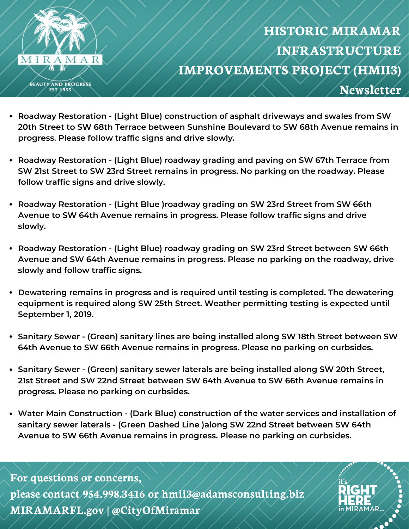

**IIRAMAR** 

- **Roadway Restoration - (Light Blue) construction of asphalt driveways and swales from SW 20th Street to SW 68th Terrace between Sunshine Boulevard to SW 68th Avenue remains in progress. Please follow traffic signs and drive slowly.**
- **Roadway Restoration - (Light Blue) roadway grading and paving on SW 67th Terrace from SW 21st Street to SW 23rd Street remains in progress. No parking on the roadway. Please follow traffic signs and drive slowly.**
- **Roadway Restoration - (Light Blue )roadway grading on SW 23rd Street from SW 66th Avenue to SW 64th Avenue remains in progress. Please follow traffic signs and drive slowly.**
- **Roadway Restoration - (Light Blue) roadway grading on SW 23rd Street between SW 66th Avenue and SW 64th Avenue remains in progress. Please no parking on the roadway, drive slowly and follow traffic signs.**
- **Dewatering remains in progress and is required until testing is completed. The dewatering equipment is required along SW 25th Street. Weather permitting testing is expected until September 1, 2019.**
- **Sanitary Sewer - (Green) sanitary lines are being installed along SW 18th Street between SW 64th Avenue to SW 66th Avenue remains in progress. Please no parking on curbsides.**
- **Sanitary Sewer - (Green) sanitary sewer laterals are being installed along SW 20th Street, 21st Street and SW 22nd Street between SW 64th Avenue to SW 66th Avenue remains in progress. Please no parking on curbsides.**
- **Water Main Construction - (Dark Blue) construction of the water services and installation of sanitary sewer laterals - (Green Dashed Line )along SW 22nd Street between SW 64th Avenue to SW 66th Avenue remains in progress. Please no parking on curbsides.**

**For questions or concerns, please contact 954.998.3416 or hmii3@adamsconsulting.biz MIRAMARFL.gov | @CityOfMiramar**